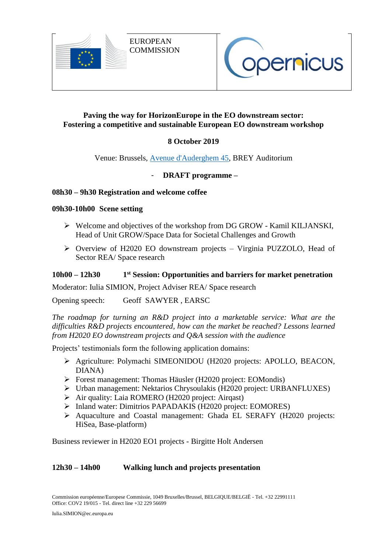



# **Paving the way for HorizonEurope in the EO downstream sector: Fostering a competitive and sustainable European EO downstream workshop**

# **8 October 2019**

## Venue: Brussels, [Avenue d'Auderghem 45,](http://maps.google.com/maps/place?q=45+Avenue+d%27Auderghem,+Etterbeek,+Bruxelles+1040,+Belgique&hl=en&ftid=0x47c3c4a235dff301:0xcd6e583be0e5387d) BREY Auditorium

# - **DRAFT programme –**

## **08h30 – 9h30 Registration and welcome coffee**

#### **09h30-10h00 Scene setting**

- Welcome and objectives of the workshop from DG GROW Kamil KILJANSKI, Head of Unit GROW/Space Data for Societal Challenges and Growth
- Overview of H2020 EO downstream projects Virginia PUZZOLO, Head of Sector REA/ Space research

#### **10h00 – 12h30 1 st Session: Opportunities and barriers for market penetration**

Moderator: Iulia SIMION, Project Adviser REA/ Space research

Opening speech: Geoff SAWYER , EARSC

*The roadmap for turning an R&D project into a marketable service: What are the difficulties R&D projects encountered, how can the market be reached? Lessons learned from H2020 EO downstream projects and Q&A session with the audience*

Projects' testimonials form the following application domains:

- Agriculture: Polymachi SIMEONIDOU (H2020 projects: APOLLO, BEACON, DIANA)
- Forest management: Thomas Häusler (H2020 project: EOMondis)
- Urban management: Nektarios Chrysoulakis (H2020 project: URBANFLUXES)
- $\triangleright$  Air quality: Laia ROMERO (H2020 project: Airqast)
- > Inland water: Dimitrios PAPADAKIS (H2020 project: EOMORES)
- Aquaculture and Coastal management: Ghada EL SERAFY (H2020 projects: HiSea, Base-platform)

Business reviewer in H2020 EO1 projects - Birgitte Holt Andersen

## **12h30 – 14h00 Walking lunch and projects presentation**

Commission européenne/Europese Commissie, 1049 Bruxelles/Brussel, BELGIQUE/BELGIË - Tel. +32 22991111 Office: COV2 19/015 - Tel. direct line +32 229 56699